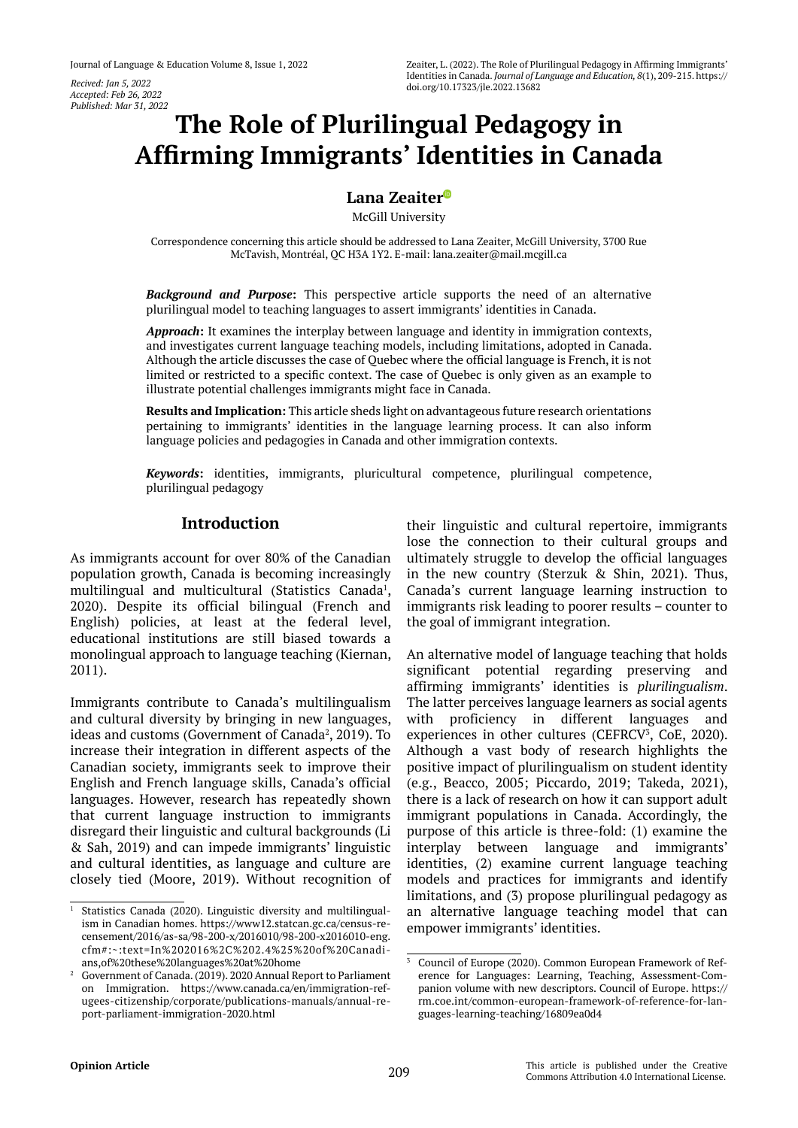*Accepted: Feb 26, 2022 Published: Mar 31, 2022*

# **The Role of Plurilingual Pedagogy in Affirming Immigrants' Identities in Canada**

# **Lana Zeaite[r](https://orcid.org/0000-0001-5293-9683)**

McGill University

Correspondence concerning this article should be addressed to Lana Zeaiter, McGill University, 3700 Rue McTavish, Montréal, QC H3A 1Y2. E-mail: [lana.zeaiter@mail.mcgill.ca](mailto:lana.zeaiter@mail.mcgill.ca)

*Background and Purpose***:** This perspective article supports the need of an alternative plurilingual model to teaching languages to assert immigrants' identities in Canada.

*Approach***:** It examines the interplay between language and identity in immigration contexts, and investigates current language teaching models, including limitations, adopted in Canada. Although the article discusses the case of Quebec where the official language is French, it is not limited or restricted to a specific context. The case of Quebec is only given as an example to illustrate potential challenges immigrants might face in Canada.

**Results and Implication:** This article sheds light on advantageous future research orientations pertaining to immigrants' identities in the language learning process. It can also inform language policies and pedagogies in Canada and other immigration contexts.

*Keywords***:** identities, immigrants, pluricultural competence, plurilingual competence, plurilingual pedagogy

## **Introduction**

As immigrants account for over 80% of the Canadian population growth, Canada is becoming increasingly multilingual and multicultural (Statistics Canada<sup>1</sup>, 2020). Despite its official bilingual (French and English) policies, at least at the federal level, educational institutions are still biased towards a monolingual approach to language teaching (Kiernan, 2011).

Immigrants contribute to Canada's multilingualism and cultural diversity by bringing in new languages, ideas and customs (Government of Canada<sup>2</sup>, 2019). To increase their integration in different aspects of the Canadian society, immigrants seek to improve their English and French language skills, Canada's official languages. However, research has repeatedly shown that current language instruction to immigrants disregard their linguistic and cultural backgrounds (Li & Sah, 2019) and can impede immigrants' linguistic and cultural identities, as language and culture are closely tied (Moore, 2019). Without recognition of

their linguistic and cultural repertoire, immigrants lose the connection to their cultural groups and ultimately struggle to develop the official languages in the new country (Sterzuk & Shin, 2021). Thus, Canada's current language learning instruction to immigrants risk leading to poorer results – counter to the goal of immigrant integration.

An alternative model of language teaching that holds significant potential regarding preserving and affirming immigrants' identities is *plurilingualism*. The latter perceives language learners as social agents with proficiency in different languages and experiences in other cultures (CEFRCV $3$ , CoE, 2020). Although a vast body of research highlights the positive impact of plurilingualism on student identity (e.g., Beacco, 2005; Piccardo, 2019; Takeda, 2021), there is a lack of research on how it can support adult immigrant populations in Canada. Accordingly, the purpose of this article is three-fold: (1) examine the interplay between language and immigrants' identities, (2) examine current language teaching models and practices for immigrants and identify limitations, and (3) propose plurilingual pedagogy as an alternative language teaching model that can empower immigrants' identities.

Statistics Canada (2020). Linguistic diversity and multilingualism in Canadian homes. https://www12.statcan.gc.ca/census-recensement/2016/as-sa/98-200-x/2016010/98-200-x2016010-eng. cfm#:~:text=In%202016%2C%202.4%25%20of%20Canadians,of%20these%20languages%20at%20home

<sup>2</sup> Government of Canada. (2019). 2020 Annual Report to Parliament on Immigration. [https://www.canada.ca/en/immigration-ref](https://www.canada.ca/en/immigration-refugees-citizenship/corporate/publications-manuals/annual-report-parliament-immigration-2020.html)[ugees-citizenship/corporate/publications-manuals/annual-re](https://www.canada.ca/en/immigration-refugees-citizenship/corporate/publications-manuals/annual-report-parliament-immigration-2020.html)[port-parliament-immigration-2020.html](https://www.canada.ca/en/immigration-refugees-citizenship/corporate/publications-manuals/annual-report-parliament-immigration-2020.html)

<sup>3</sup> Council of Europe (2020). Common European Framework of Reference for Languages: Learning, Teaching, Assessment-Companion volume with new descriptors. Council of Europe. [https://](https://rm.coe.int/common-european-framework-of-reference-for-languages-learning-teaching/16809ea0d4) [rm.coe.int/common-european-framework-of-reference-for-lan](https://rm.coe.int/common-european-framework-of-reference-for-languages-learning-teaching/16809ea0d4)[guages-learning-teaching/16809ea0d4](https://rm.coe.int/common-european-framework-of-reference-for-languages-learning-teaching/16809ea0d4)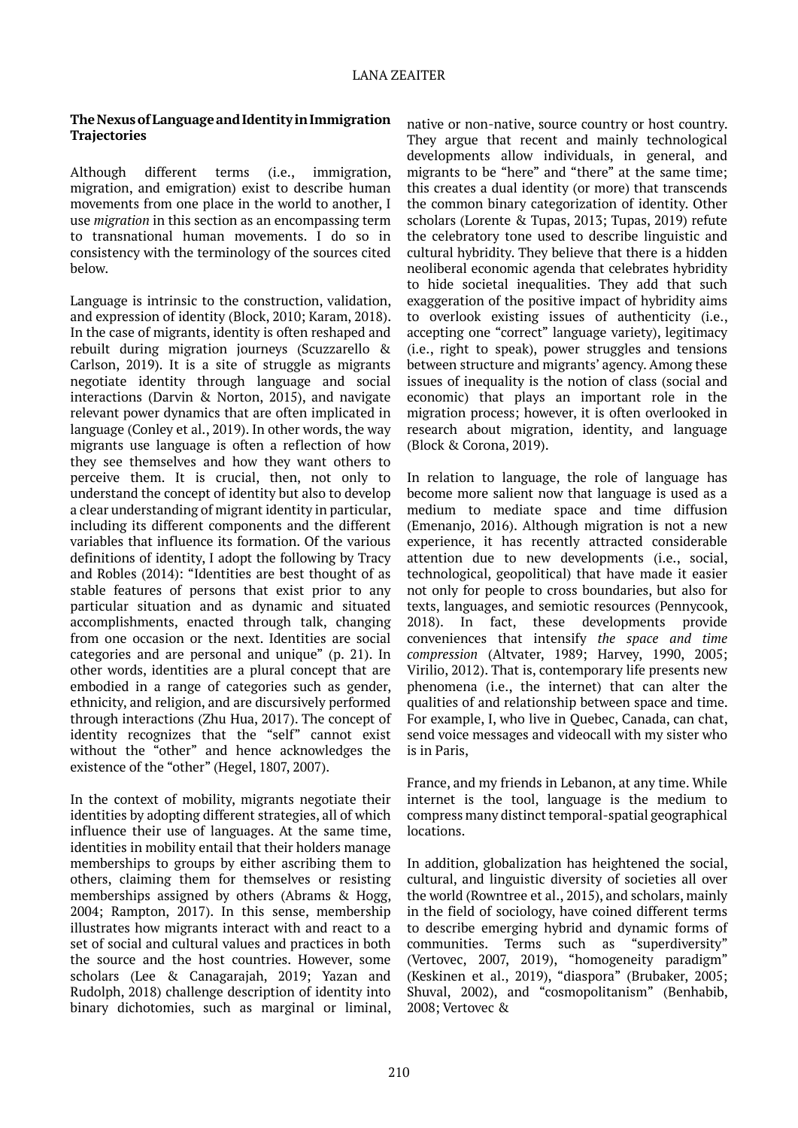#### **The Nexus of Language and Identity in Immigration Trajectories**

Although different terms (i.e., immigration, migration, and emigration) exist to describe human movements from one place in the world to another, I use *migration* in this section as an encompassing term to transnational human movements. I do so in consistency with the terminology of the sources cited below.

Language is intrinsic to the construction, validation, and expression of identity (Block, 2010; Karam, 2018). In the case of migrants, identity is often reshaped and rebuilt during migration journeys (Scuzzarello & Carlson, 2019). It is a site of struggle as migrants negotiate identity through language and social interactions (Darvin & Norton, 2015), and navigate relevant power dynamics that are often implicated in language (Conley et al., 2019). In other words, the way migrants use language is often a reflection of how they see themselves and how they want others to perceive them. It is crucial, then, not only to understand the concept of identity but also to develop a clear understanding of migrant identity in particular, including its different components and the different variables that influence its formation. Of the various definitions of identity, I adopt the following by Tracy and Robles (2014): "Identities are best thought of as stable features of persons that exist prior to any particular situation and as dynamic and situated accomplishments, enacted through talk, changing from one occasion or the next. Identities are social categories and are personal and unique" (p. 21). In other words, identities are a plural concept that are embodied in a range of categories such as gender, ethnicity, and religion, and are discursively performed through interactions (Zhu Hua, 2017). The concept of identity recognizes that the "self" cannot exist without the "other" and hence acknowledges the existence of the "other" (Hegel, 1807, 2007).

In the context of mobility, migrants negotiate their identities by adopting different strategies, all of which influence their use of languages. At the same time, identities in mobility entail that their holders manage memberships to groups by either ascribing them to others, claiming them for themselves or resisting memberships assigned by others (Abrams & Hogg, 2004; Rampton, 2017). In this sense, membership illustrates how migrants interact with and react to a set of social and cultural values and practices in both the source and the host countries. However, some scholars (Lee & Canagarajah, 2019; Yazan and Rudolph, 2018) challenge description of identity into binary dichotomies, such as marginal or liminal,

native or non-native, source country or host country. They argue that recent and mainly technological developments allow individuals, in general, and migrants to be "here" and "there" at the same time; this creates a dual identity (or more) that transcends the common binary categorization of identity. Other scholars (Lorente & Tupas, 2013; Tupas, 2019) refute the celebratory tone used to describe linguistic and cultural hybridity. They believe that there is a hidden neoliberal economic agenda that celebrates hybridity to hide societal inequalities. They add that such exaggeration of the positive impact of hybridity aims to overlook existing issues of authenticity (i.e., accepting one "correct" language variety), legitimacy (i.e., right to speak), power struggles and tensions between structure and migrants' agency. Among these issues of inequality is the notion of class (social and economic) that plays an important role in the migration process; however, it is often overlooked in research about migration, identity, and language (Block & Corona, 2019).

In relation to language, the role of language has become more salient now that language is used as a medium to mediate space and time diffusion (Emenanjo, 2016). Although migration is not a new experience, it has recently attracted considerable attention due to new developments (i.e., social, technological, geopolitical) that have made it easier not only for people to cross boundaries, but also for texts, languages, and semiotic resources (Pennycook, 2018). In fact, these developments provide conveniences that intensify *the space and time compression* (Altvater, 1989; Harvey, 1990, 2005; Virilio, 2012). That is, contemporary life presents new phenomena (i.e., the internet) that can alter the qualities of and relationship between space and time. For example, I, who live in Quebec, Canada, can chat, send voice messages and videocall with my sister who is in Paris,

France, and my friends in Lebanon, at any time. While internet is the tool, language is the medium to compress many distinct temporal-spatial geographical locations.

In addition, globalization has heightened the social, cultural, and linguistic diversity of societies all over the world (Rowntree et al., 2015), and scholars, mainly in the field of sociology, have coined different terms to describe emerging hybrid and dynamic forms of communities. Terms such as "superdiversity" (Vertovec, 2007, 2019), "homogeneity paradigm" (Keskinen et al., 2019), "diaspora" (Brubaker, 2005; Shuval, 2002), and "cosmopolitanism" (Benhabib, 2008; Vertovec &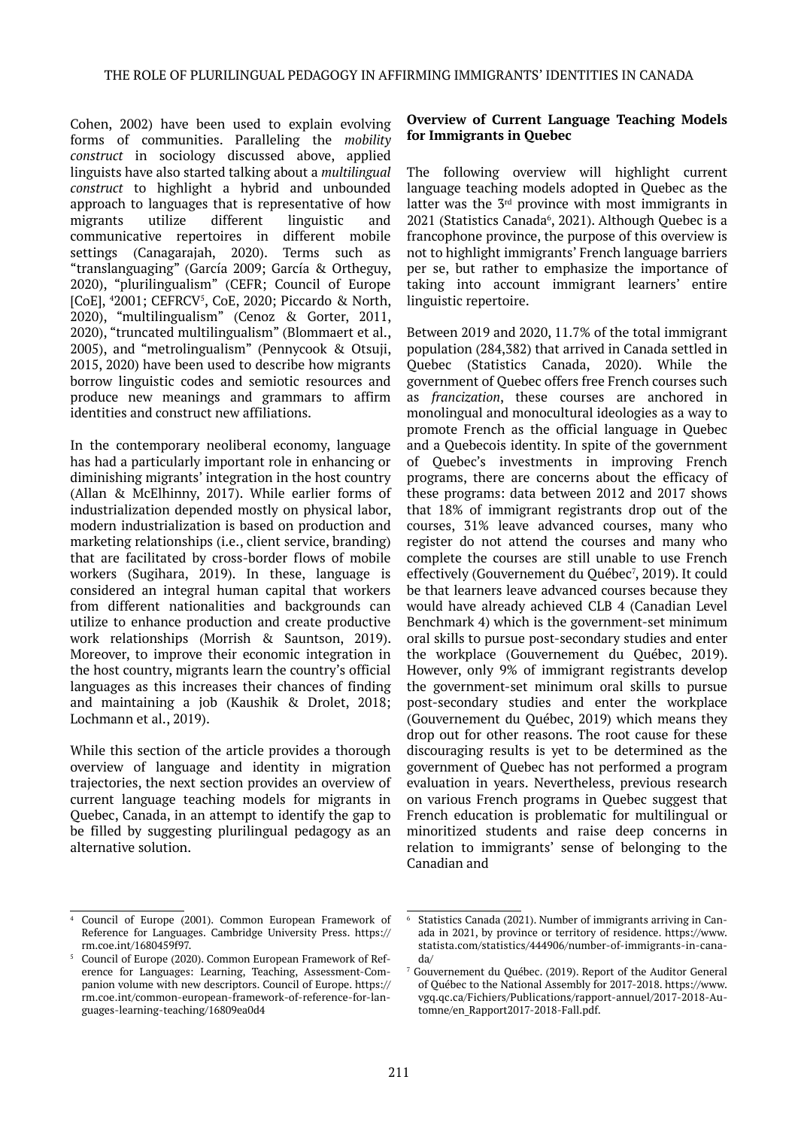Cohen, 2002) have been used to explain evolving forms of communities. Paralleling the *mobility construct* in sociology discussed above, applied linguists have also started talking about a *multilingual construct* to highlight a hybrid and unbounded approach to languages that is representative of how migrants utilize different linguistic and communicative repertoires in different mobile settings (Canagarajah, 2020). Terms such as "translanguaging" (García 2009; García & Ortheguy, 2020), "plurilingualism" (CEFR; Council of Europe [CoE], <sup>4</sup>2001; CEFRCV<sup>5</sup>, CoE, 2020; Piccardo & North, 2020), "multilingualism" (Cenoz & Gorter, 2011, 2020), "truncated multilingualism" (Blommaert et al., 2005), and "metrolingualism" (Pennycook & Otsuji, 2015, 2020) have been used to describe how migrants borrow linguistic codes and semiotic resources and produce new meanings and grammars to affirm identities and construct new affiliations.

In the contemporary neoliberal economy, language has had a particularly important role in enhancing or diminishing migrants' integration in the host country (Allan & McElhinny, 2017). While earlier forms of industrialization depended mostly on physical labor, modern industrialization is based on production and marketing relationships (i.e., client service, branding) that are facilitated by cross-border flows of mobile workers (Sugihara, 2019). In these, language is considered an integral human capital that workers from different nationalities and backgrounds can utilize to enhance production and create productive work relationships (Morrish & Sauntson, 2019). Moreover, to improve their economic integration in the host country, migrants learn the country's official languages as this increases their chances of finding and maintaining a job (Kaushik & Drolet, 2018; Lochmann et al., 2019).

While this section of the article provides a thorough overview of language and identity in migration trajectories, the next section provides an overview of current language teaching models for migrants in Quebec, Canada, in an attempt to identify the gap to be filled by suggesting plurilingual pedagogy as an alternative solution.

#### **Overview of Current Language Teaching Models for Immigrants in Quebec**

The following overview will highlight current language teaching models adopted in Quebec as the latter was the  $3<sup>rd</sup>$  province with most immigrants in 2021 (Statistics Canada<sup>6</sup>, 2021). Although Quebec is a francophone province, the purpose of this overview is not to highlight immigrants' French language barriers per se, but rather to emphasize the importance of taking into account immigrant learners' entire linguistic repertoire.

Between 2019 and 2020, 11.7% of the total immigrant population (284,382) that arrived in Canada settled in Quebec (Statistics Canada, 2020). While the government of Quebec offers free French courses such as *francization*, these courses are anchored in monolingual and monocultural ideologies as a way to promote French as the official language in Quebec and a Quebecois identity. In spite of the government of Quebec's investments in improving French programs, there are concerns about the efficacy of these programs: data between 2012 and 2017 shows that 18% of immigrant registrants drop out of the courses, 31% leave advanced courses, many who register do not attend the courses and many who complete the courses are still unable to use French effectively (Gouvernement du Québec7 , 2019). It could be that learners leave advanced courses because they would have already achieved CLB 4 (Canadian Level Benchmark 4) which is the government-set minimum oral skills to pursue post-secondary studies and enter the workplace (Gouvernement du Québec, 2019). However, only 9% of immigrant registrants develop the government-set minimum oral skills to pursue post-secondary studies and enter the workplace (Gouvernement du Québec, 2019) which means they drop out for other reasons. The root cause for these discouraging results is yet to be determined as the government of Quebec has not performed a program evaluation in years. Nevertheless, previous research on various French programs in Quebec suggest that French education is problematic for multilingual or minoritized students and raise deep concerns in relation to immigrants' sense of belonging to the Canadian and

<sup>4</sup> Council of Europe (2001). Common European Framework of Reference for Languages. Cambridge University Press. [https://](https://rm.coe.int/1680459f97) [rm.coe.int/1680459f97.](https://rm.coe.int/1680459f97)

<sup>5</sup> Council of Europe (2020). Common European Framework of Reference for Languages: Learning, Teaching, Assessment-Companion volume with new descriptors. Council of Europe. [https://](https://rm.coe.int/common-european-framework-of-reference-for-languages-learning-teaching/16809ea0d4) [rm.coe.int/common-european-framework-of-reference-for-lan](https://rm.coe.int/common-european-framework-of-reference-for-languages-learning-teaching/16809ea0d4)[guages-learning-teaching/16809ea0d4](https://rm.coe.int/common-european-framework-of-reference-for-languages-learning-teaching/16809ea0d4)

<sup>6</sup> Statistics Canada (2021). Number of immigrants arriving in Canada in 2021, by province or territory of residence. [https://www.](https://www.statista.com/statistics/444906/number-of-immigrants-in-canada/) [statista.com/statistics/444906/number-of-immigrants-in-cana](https://www.statista.com/statistics/444906/number-of-immigrants-in-canada/)[da/](https://www.statista.com/statistics/444906/number-of-immigrants-in-canada/)

<sup>7</sup> Gouvernement du Québec. (2019). Report of the Auditor General of Québec to the National Assembly for 2017-2018. [https://www.](https://www.vgq.qc.ca/Fichiers/Publications/rapport-annuel/2017-2018-Automne/en_Rapport2017-2018-Fall.pdf) [vgq.qc.ca/Fichiers/Publications/rapport-annuel/2017-2018-Au](https://www.vgq.qc.ca/Fichiers/Publications/rapport-annuel/2017-2018-Automne/en_Rapport2017-2018-Fall.pdf)[tomne/en\\_Rapport2017-2018-Fall.pdf](https://www.vgq.qc.ca/Fichiers/Publications/rapport-annuel/2017-2018-Automne/en_Rapport2017-2018-Fall.pdf).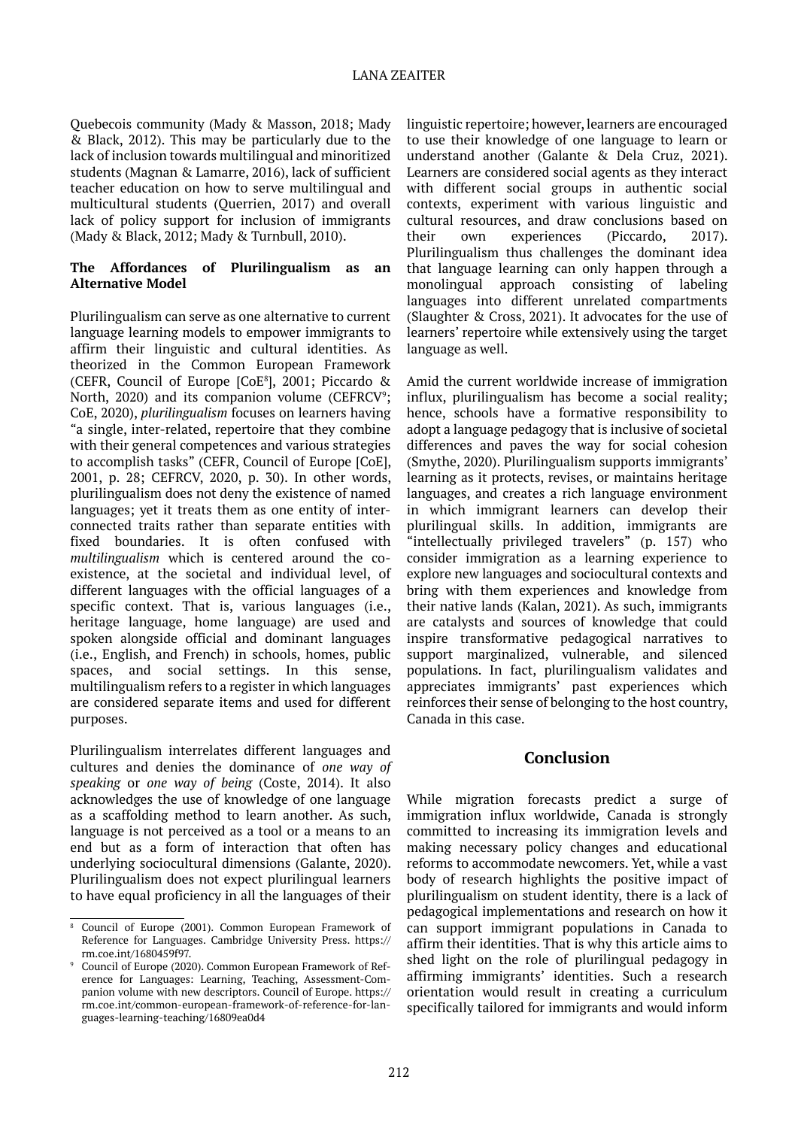#### LANA ZEAITER

Quebecois community (Mady & Masson, 2018; Mady & Black, 2012). This may be particularly due to the lack of inclusion towards multilingual and minoritized students (Magnan & Lamarre, 2016), lack of sufficient teacher education on how to serve multilingual and multicultural students (Querrien, 2017) and overall lack of policy support for inclusion of immigrants (Mady & Black, 2012; Mady & Turnbull, 2010).

#### **The Affordances of Plurilingualism as an Alternative Model**

Plurilingualism can serve as one alternative to current language learning models to empower immigrants to affirm their linguistic and cultural identities. As theorized in the Common European Framework (CEFR, Council of Europe [CoE<sup>8</sup>], 2001; Piccardo & North, 2020) and its companion volume ( $C\text{EFRCV}$ <sup>9</sup>; CoE, 2020), *plurilingualism* focuses on learners having "a single, inter-related, repertoire that they combine with their general competences and various strategies to accomplish tasks" (CEFR, Council of Europe [CoE], 2001, p. 28; CEFRCV, 2020, p. 30). In other words, plurilingualism does not deny the existence of named languages; yet it treats them as one entity of interconnected traits rather than separate entities with fixed boundaries. It is often confused with *multilingualism* which is centered around the coexistence, at the societal and individual level, of different languages with the official languages of a specific context. That is, various languages (i.e., heritage language, home language) are used and spoken alongside official and dominant languages (i.e., English, and French) in schools, homes, public spaces, and social settings. In this sense, multilingualism refers to a register in which languages are considered separate items and used for different purposes.

Plurilingualism interrelates different languages and cultures and denies the dominance of *one way of speaking* or *one way of being* (Coste, 2014). It also acknowledges the use of knowledge of one language as a scaffolding method to learn another. As such, language is not perceived as a tool or a means to an end but as a form of interaction that often has underlying sociocultural dimensions (Galante, 2020). Plurilingualism does not expect plurilingual learners to have equal proficiency in all the languages of their linguistic repertoire; however, learners are encouraged to use their knowledge of one language to learn or understand another (Galante & Dela Cruz, 2021). Learners are considered social agents as they interact with different social groups in authentic social contexts, experiment with various linguistic and cultural resources, and draw conclusions based on their own experiences (Piccardo, 2017). Plurilingualism thus challenges the dominant idea that language learning can only happen through a monolingual approach consisting of labeling languages into different unrelated compartments (Slaughter & Cross, 2021). It advocates for the use of learners' repertoire while extensively using the target language as well.

Amid the current worldwide increase of immigration influx, plurilingualism has become a social reality; hence, schools have a formative responsibility to adopt a language pedagogy that is inclusive of societal differences and paves the way for social cohesion (Smythe, 2020). Plurilingualism supports immigrants' learning as it protects, revises, or maintains heritage languages, and creates a rich language environment in which immigrant learners can develop their plurilingual skills. In addition, immigrants are "intellectually privileged travelers" (p. 157) who consider immigration as a learning experience to explore new languages and sociocultural contexts and bring with them experiences and knowledge from their native lands (Kalan, 2021). As such, immigrants are catalysts and sources of knowledge that could inspire transformative pedagogical narratives to support marginalized, vulnerable, and silenced populations. In fact, plurilingualism validates and appreciates immigrants' past experiences which reinforces their sense of belonging to the host country, Canada in this case.

### **Conclusion**

While migration forecasts predict a surge of immigration influx worldwide, Canada is strongly committed to increasing its immigration levels and making necessary policy changes and educational reforms to accommodate newcomers. Yet, while a vast body of research highlights the positive impact of plurilingualism on student identity, there is a lack of pedagogical implementations and research on how it can support immigrant populations in Canada to affirm their identities. That is why this article aims to shed light on the role of plurilingual pedagogy in affirming immigrants' identities. Such a research orientation would result in creating a curriculum specifically tailored for immigrants and would inform

<sup>8</sup> Council of Europe (2001). Common European Framework of Reference for Languages. Cambridge University Press. [https://](https://rm.coe.int/1680459f97) [rm.coe.int/1680459f97.](https://rm.coe.int/1680459f97)

<sup>9</sup> Council of Europe (2020). Common European Framework of Reference for Languages: Learning, Teaching, Assessment-Companion volume with new descriptors. Council of Europe. [https://](https://rm.coe.int/common-european-framework-of-reference-for-languages-learning-teaching/16809ea0d4) [rm.coe.int/common-european-framework-of-reference-for-lan](https://rm.coe.int/common-european-framework-of-reference-for-languages-learning-teaching/16809ea0d4)[guages-learning-teaching/16809ea0d4](https://rm.coe.int/common-european-framework-of-reference-for-languages-learning-teaching/16809ea0d4)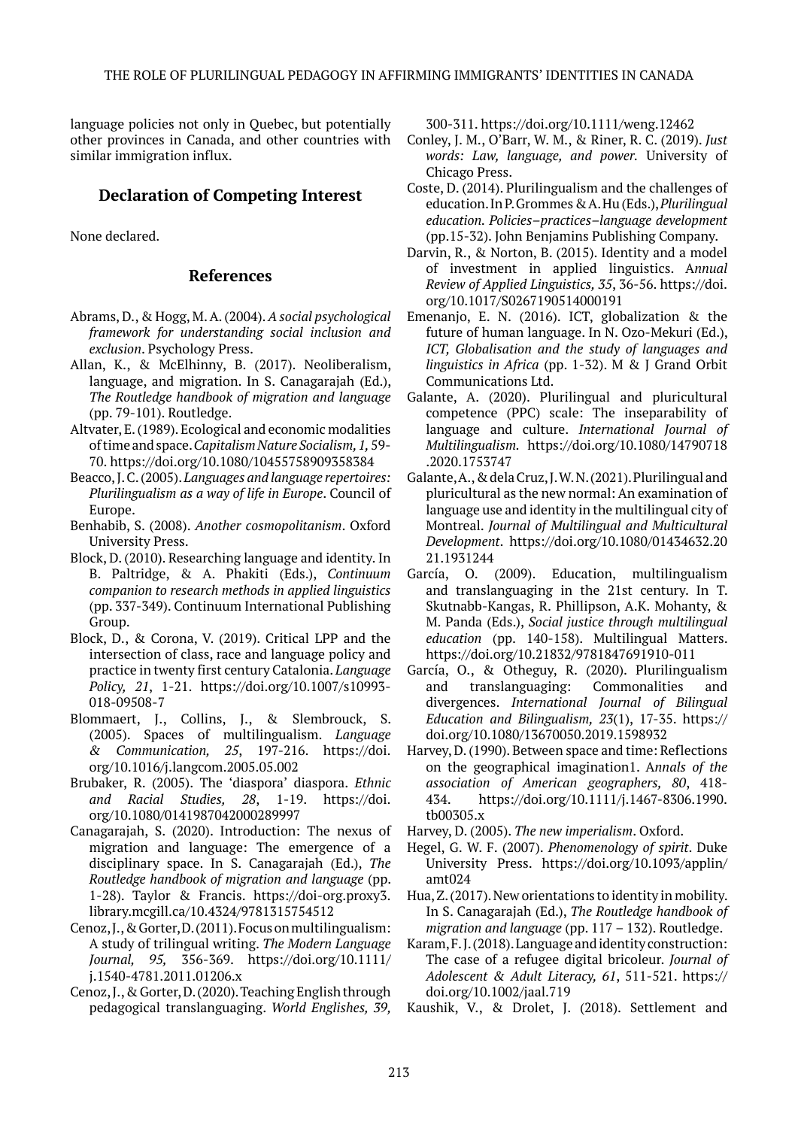language policies not only in Quebec, but potentially other provinces in Canada, and other countries with similar immigration influx.

# **Declaration of Competing Interest**

None declared.

## **References**

- Abrams, D., & Hogg, M. A. (2004). *A social psychological framework for understanding social inclusion and exclusion*. Psychology Press.
- Allan, K., & McElhinny, B. (2017). Neoliberalism, language, and migration. In S. Canagarajah (Ed.), *The Routledge handbook of migration and language* (pp. 79-101). Routledge.
- Altvater, E. (1989). Ecological and economic modalities of time and space. *Capitalism Nature Socialism, 1,* 59- 70.<https://doi.org/10.1080/10455758909358384>
- Beacco, J. C. (2005). *Languages and language repertoires: Plurilingualism as a way of life in Europe*. Council of Europe.
- Benhabib, S. (2008). *Another cosmopolitanism*. Oxford University Press.
- Block, D. (2010). Researching language and identity. In B. Paltridge, & A. Phakiti (Eds.), *Continuum companion to research methods in applied linguistics*  (pp. 337-349). Continuum International Publishing Group.
- Block, D., & Corona, V. (2019). Critical LPP and the intersection of class, race and language policy and practice in twenty first century Catalonia. *Language Policy, 21*, 1-21. [https://doi.org/10.1007/s10993-](https://doi.org/10.1007/s10993-018-09508-7) [018-09508-7](https://doi.org/10.1007/s10993-018-09508-7)
- Blommaert, J., Collins, J., & Slembrouck, S. (2005). Spaces of multilingualism. *Language & Communication, 25*, 197-216. [https://doi.](https://doi.org/10.1016/j.langcom.2005.05.002) [org/10.1016/j.langcom.2005.05.002](https://doi.org/10.1016/j.langcom.2005.05.002)
- Brubaker, R. (2005). The 'diaspora' diaspora. *Ethnic and Racial Studies, 28*, 1-19. [https://doi.](https://doi.org/10.1080/0141987042000289997) [org/10.1080/0141987042000289997](https://doi.org/10.1080/0141987042000289997)
- Canagarajah, S. (2020). Introduction: The nexus of migration and language: The emergence of a disciplinary space. In S. Canagarajah (Ed.), *The Routledge handbook of migration and language* (pp. 1-28). Taylor & Francis. [https://doi-org.proxy3.](https://doi-org.proxy3.library.mcgill.ca/10.4324/9781315754512) [library.mcgill.ca/10.4324/9781315754512](https://doi-org.proxy3.library.mcgill.ca/10.4324/9781315754512)
- Cenoz, J., & Gorter, D. (2011). Focus on multilingualism: A study of trilingual writing. *The Modern Language Journal, 95,* 356-369. [https://doi.org/10.1111/](https://doi.org/10.1111/j.1540-4781.2011.01206.x) [j.1540-4781.2011.01206.x](https://doi.org/10.1111/j.1540-4781.2011.01206.x)
- Cenoz, J., & Gorter, D. (2020). Teaching English through pedagogical translanguaging. *World Englishes, 39,*

300-311. <https://doi.org/10.1111/weng.12462>

- Conley, J. M., O'Barr, W. M., & Riner, R. C. (2019). *Just words: Law, language, and power.* University of Chicago Press.
- Coste, D. (2014). Plurilingualism and the challenges of education. In P. Grommes & A. Hu (Eds.), *Plurilingual education. Policies–practices–language development* (pp.15-32). John Benjamins Publishing Company.
- Darvin, R., & Norton, B. (2015). Identity and a model of investment in applied linguistics. A*nnual Review of Applied Linguistics, 35*, 36-56. [https://doi.](https://doi.org/10.1017/S0267190514000191) [org/10.1017/S0267190514000191](https://doi.org/10.1017/S0267190514000191)
- Emenanjo, E. N. (2016). ICT, globalization & the future of human language. In N. Ozo-Mekuri (Ed.), *ICT, Globalisation and the study of languages and linguistics in Africa* (pp. 1-32). M & J Grand Orbit Communications Ltd.
- Galante, A. (2020). Plurilingual and pluricultural competence (PPC) scale: The inseparability of language and culture. *International Journal of Multilingualism.* [https://doi.org/10.1080/14790718](https://doi.org/10.1080/14790718.2020.1753747) [.2020.1753747](https://doi.org/10.1080/14790718.2020.1753747)
- Galante, A., & dela Cruz, J. W. N. (2021). Plurilingual and pluricultural as the new normal: An examination of language use and identity in the multilingual city of Montreal. *Journal of Multilingual and Multicultural Development*. [https://doi.org/10.1080/01434632.20](https://doi.org/10.1080/01434632.2021.1931244) [21.1931244](https://doi.org/10.1080/01434632.2021.1931244)
- García, O. (2009). Education, multilingualism and translanguaging in the 21st century. In T. Skutnabb-Kangas, R. Phillipson, A.K. Mohanty, & M. Panda (Eds.), *Social justice through multilingual education* (pp. 140-158). Multilingual Matters. <https://doi.org/10.21832/9781847691910-011>
- García, O., & Otheguy, R. (2020). Plurilingualism and translanguaging: Commonalities and divergences. *International Journal of Bilingual Education and Bilingualism, 23*(1), 17-35. [https://](https://doi.org/10.1080/13670050.2019.1598932) [doi.org/10.1080/13670050.2019.1598932](https://doi.org/10.1080/13670050.2019.1598932)
- Harvey, D. (1990). Between space and time: Reflections on the geographical imagination1. A*nnals of the association of American geographers, 80*, 418- 434. [https://doi.org/10.1111/j.1467-8306.1990.](https://doi.org/10.1111/j.1467-8306.1990.tb00305.x) [tb00305.x](https://doi.org/10.1111/j.1467-8306.1990.tb00305.x)
- Harvey, D. (2005). *The new imperialism*. Oxford.
- Hegel, G. W. F. (2007). *Phenomenology of spirit*. Duke University Press. [https://doi.org/10.1093/applin/](https://doi.org/10.1093/applin/amt024) [amt024](https://doi.org/10.1093/applin/amt024)
- Hua, Z. (2017). New orientations to identity in mobility. In S. Canagarajah (Ed.), *The Routledge handbook of migration and language* (pp. 117 – 132). Routledge.
- Karam, F. J. (2018). Language and identity construction: The case of a refugee digital bricoleur. *Journal of Adolescent & Adult Literacy, 61*, 511-521. [https://](https://doi.org/10.1002/jaal.719) [doi.org/10.1002/jaal.719](https://doi.org/10.1002/jaal.719)
- Kaushik, V., & Drolet, J. (2018). Settlement and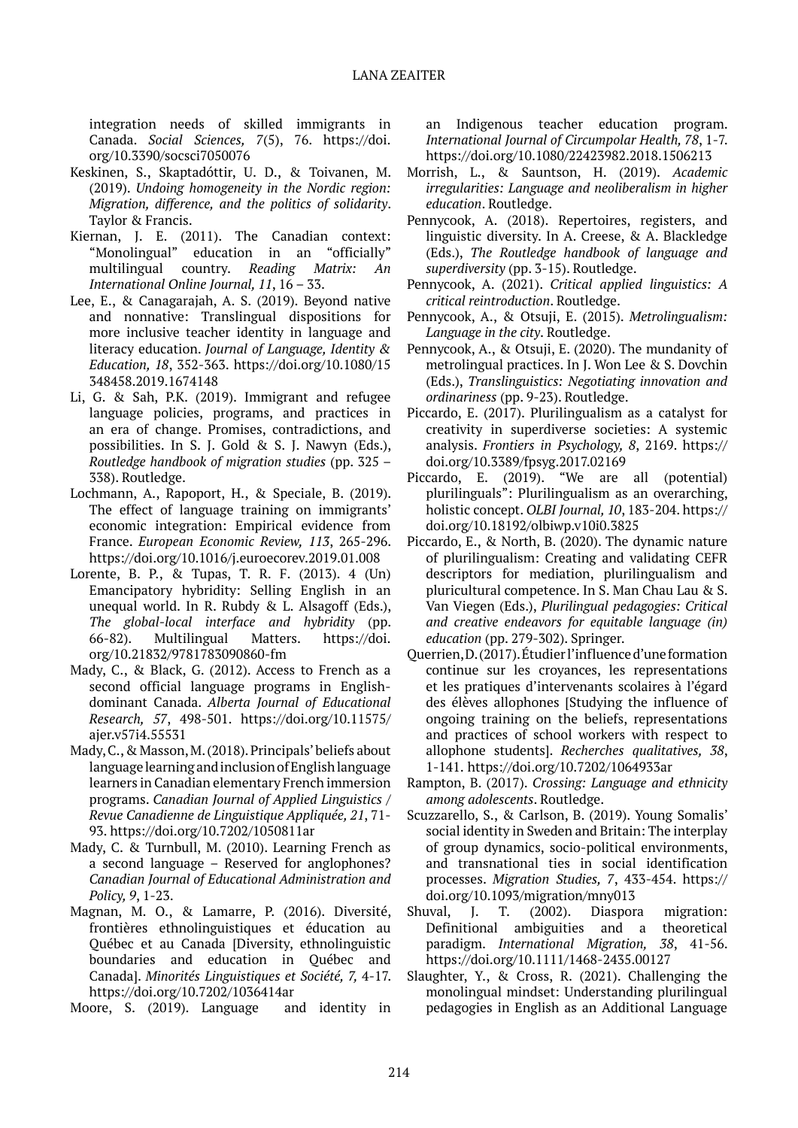integration needs of skilled immigrants in Canada. *Social Sciences, 7*(5), 76. [https://doi.](https://doi.org/10.3390/socsci7050076) [org/10.3390/socsci7050076](https://doi.org/10.3390/socsci7050076)

- Keskinen, S., Skaptadóttir, U. D., & Toivanen, M. (2019). *Undoing homogeneity in the Nordic region: Migration, difference, and the politics of solidarity*. Taylor & Francis.
- Kiernan, J. E. (2011). The Canadian context: "Monolingual" education in an "officially" multilingual country. *Reading Matrix: An International Online Journal, 11*, 16 – 33.
- Lee, E., & Canagarajah, A. S. (2019). Beyond native and nonnative: Translingual dispositions for more inclusive teacher identity in language and literacy education. *Journal of Language, Identity & Education, 18*, 352-363. [https://doi.org/10.1080/15](https://doi.org/10.1080/15348458.2019.1674148) [348458.2019.1674148](https://doi.org/10.1080/15348458.2019.1674148)
- Li, G. & Sah, P.K. (2019). Immigrant and refugee language policies, programs, and practices in an era of change. Promises, contradictions, and possibilities. In S. J. Gold & S. J. Nawyn (Eds.), *Routledge handbook of migration studies* (pp. 325 – 338). Routledge.
- Lochmann, A., Rapoport, H., & Speciale, B. (2019). The effect of language training on immigrants' economic integration: Empirical evidence from France. *European Economic Review, 113*, 265-296. <https://doi.org/10.1016/j.euroecorev.2019.01.008>
- Lorente, B. P., & Tupas, T. R. F. (2013). 4 (Un) Emancipatory hybridity: Selling English in an unequal world. In R. Rubdy & L. Alsagoff (Eds.), *The global-local interface and hybridity* (pp. 66-82). Multilingual Matters. [https://doi.](https://doi.org/10.21832/9781783090860-fm) [org/10.21832/9781783090860-fm](https://doi.org/10.21832/9781783090860-fm)
- Mady, C., & Black, G. (2012). Access to French as a second official language programs in Englishdominant Canada. *Alberta Journal of Educational Research, 57*, 498-501. https://doi.org/10.11575/ ajer.v57i4.55531
- Mady, C., & Masson, M. (2018). Principals' beliefs about language learning and inclusion of English language learners in Canadian elementary French immersion programs. *Canadian Journal of Applied Linguistics / Revue Canadienne de Linguistique Appliquée, 21*, 71- 93.<https://doi.org/10.7202/1050811ar>
- Mady, C. & Turnbull, M. (2010). Learning French as a second language – Reserved for anglophones? *Canadian Journal of Educational Administration and Policy, 9*, 1-23.
- Magnan, M. O., & Lamarre, P. (2016). Diversité, frontières ethnolinguistiques et éducation au Québec et au Canada [Diversity, ethnolinguistic boundaries and education in Québec and Canada]. *Minorités Linguistiques et Société, 7,* 4-17. <https://doi.org/10.7202/1036414ar>
- Moore, S. (2019). Language and identity in

an Indigenous teacher education program. *International Journal of Circumpolar Health, 78*, 1-7. <https://doi.org/10.1080/22423982.2018.1506213>

- Morrish, L., & Sauntson, H. (2019). *Academic irregularities: Language and neoliberalism in higher education*. Routledge.
- Pennycook, A. (2018). Repertoires, registers, and linguistic diversity. In A. Creese, & A. Blackledge (Eds.), *The Routledge handbook of language and superdiversity* (pp. 3-15). Routledge.
- Pennycook, A. (2021). *Critical applied linguistics: A critical reintroduction*. Routledge.
- Pennycook, A., & Otsuji, E. (2015). *Metrolingualism: Language in the city*. Routledge.
- Pennycook, A., & Otsuji, E. (2020). The mundanity of metrolingual practices. In J. Won Lee & S. Dovchin (Eds.), *Translinguistics: Negotiating innovation and ordinariness* (pp. 9-23). Routledge.
- Piccardo, E. (2017). Plurilingualism as a catalyst for creativity in superdiverse societies: A systemic analysis. *Frontiers in Psychology, 8*, 2169. [https://](https://doi.org/10.3389/fpsyg.2017.02169) [doi.org/10.3389/fpsyg.2017.02169](https://doi.org/10.3389/fpsyg.2017.02169)
- Piccardo, E. (2019). "We are all (potential) plurilinguals": Plurilingualism as an overarching, holistic concept. *OLBI Journal, 10*, 183-204. [https://](https://doi.org/10.18192/olbiwp.v10i0.3825) [doi.org/10.18192/olbiwp.v10i0.3825](https://doi.org/10.18192/olbiwp.v10i0.3825)
- Piccardo, E., & North, B. (2020). The dynamic nature of plurilingualism: Creating and validating CEFR descriptors for mediation, plurilingualism and pluricultural competence. In S. Man Chau Lau & S. Van Viegen (Eds.), *Plurilingual pedagogies: Critical and creative endeavors for equitable language (in) education* (pp. 279-302). Springer.
- Querrien, D. (2017). Étudier l'influence d'une formation continue sur les croyances, les representations et les pratiques d'intervenants scolaires à l'égard des élèves allophones [Studying the influence of ongoing training on the beliefs, representations and practices of school workers with respect to allophone students]. *Recherches qualitatives, 38*, 1-141. <https://doi.org/10.7202/1064933ar>
- Rampton, B. (2017). *Crossing: Language and ethnicity among adolescents*. Routledge.
- Scuzzarello, S., & Carlson, B. (2019). Young Somalis' social identity in Sweden and Britain: The interplay of group dynamics, socio-political environments, and transnational ties in social identification processes. *Migration Studies, 7*, 433-454. [https://](https://doi.org/10.1093/migration/mny013) [doi.org/10.1093/migration/mny013](https://doi.org/10.1093/migration/mny013)
- Shuval, J. T. (2002). Diaspora migration: Definitional ambiguities and a theoretical paradigm. *International Migration, 38*, 41-56. <https://doi.org/10.1111/1468-2435.00127>
- Slaughter, Y., & Cross, R. (2021). Challenging the monolingual mindset: Understanding plurilingual pedagogies in English as an Additional Language